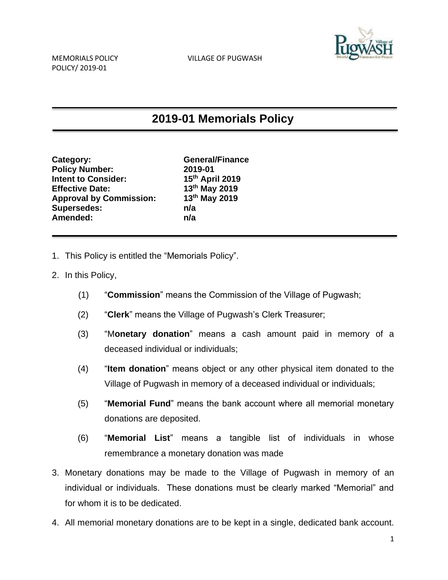

## **2019-01 Memorials Policy**

| Category:                      | Ge               |
|--------------------------------|------------------|
| <b>Policy Number:</b>          | 201              |
| <b>Intent to Consider:</b>     | 15 <sup>tl</sup> |
| <b>Effective Date:</b>         | 13 <sup>tl</sup> |
| <b>Approval by Commission:</b> | 13 <sup>tl</sup> |
| <b>Supersedes:</b>             | n/a              |
| Amended:                       | n/a              |
|                                |                  |

**Category: General/Finance Policy Number: 2019-01 Intent to Consider: 15th April 2019 Effective Date: 13th May 2019 Approval by Commission: 13th May 2019**

- 1. This Policy is entitled the "Memorials Policy".
- 2. In this Policy,
	- (1) "**Commission**" means the Commission of the Village of Pugwash;
	- (2) "**Clerk**" means the Village of Pugwash's Clerk Treasurer;
	- (3) "M**onetary donation**" means a cash amount paid in memory of a deceased individual or individuals;
	- (4) "**Item donation**" means object or any other physical item donated to the Village of Pugwash in memory of a deceased individual or individuals;
	- (5) "**Memorial Fund**" means the bank account where all memorial monetary donations are deposited.
	- (6) "**Memorial List**" means a tangible list of individuals in whose remembrance a monetary donation was made
- 3. Monetary donations may be made to the Village of Pugwash in memory of an individual or individuals. These donations must be clearly marked "Memorial" and for whom it is to be dedicated.
- 4. All memorial monetary donations are to be kept in a single, dedicated bank account.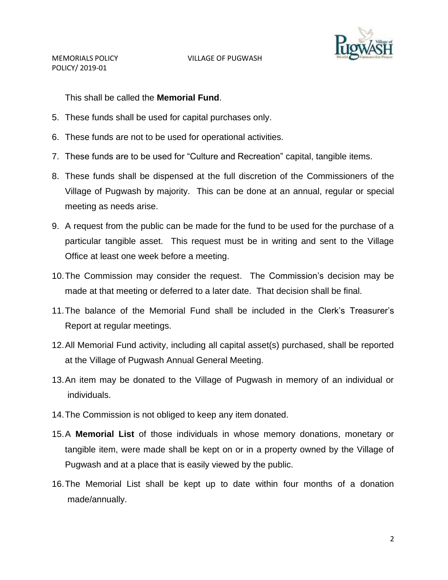

POLICY/ 2019-01

This shall be called the **Memorial Fund**.

- 5. These funds shall be used for capital purchases only.
- 6. These funds are not to be used for operational activities.
- 7. These funds are to be used for "Culture and Recreation" capital, tangible items.
- 8. These funds shall be dispensed at the full discretion of the Commissioners of the Village of Pugwash by majority. This can be done at an annual, regular or special meeting as needs arise.
- 9. A request from the public can be made for the fund to be used for the purchase of a particular tangible asset. This request must be in writing and sent to the Village Office at least one week before a meeting.
- 10.The Commission may consider the request. The Commission's decision may be made at that meeting or deferred to a later date. That decision shall be final.
- 11.The balance of the Memorial Fund shall be included in the Clerk's Treasurer's Report at regular meetings.
- 12.All Memorial Fund activity, including all capital asset(s) purchased, shall be reported at the Village of Pugwash Annual General Meeting.
- 13.An item may be donated to the Village of Pugwash in memory of an individual or individuals.
- 14.The Commission is not obliged to keep any item donated.
- 15.A **Memorial List** of those individuals in whose memory donations, monetary or tangible item, were made shall be kept on or in a property owned by the Village of Pugwash and at a place that is easily viewed by the public.
- 16.The Memorial List shall be kept up to date within four months of a donation made/annually.